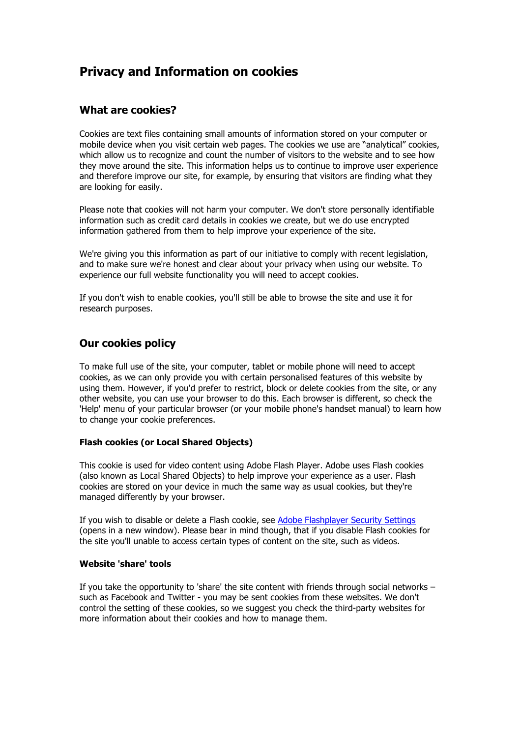# **Privacy and Information on cookies**

# **What are cookies?**

Cookies are text files containing small amounts of information stored on your computer or mobile device when you visit certain web pages. The cookies we use are "analytical" cookies, which allow us to recognize and count the number of visitors to the website and to see how they move around the site. This information helps us to continue to improve user experience and therefore improve our site, for example, by ensuring that visitors are finding what they are looking for easily.

Please note that cookies will not harm your computer. We don't store personally identifiable information such as credit card details in cookies we create, but we do use encrypted information gathered from them to help improve your experience of the site.

We're giving you this information as part of our initiative to comply with recent legislation, and to make sure we're honest and clear about your privacy when using our website. To experience our full website functionality you will need to accept cookies.

If you don't wish to enable cookies, you'll still be able to browse the site and use it for research purposes.

# **Our cookies policy**

To make full use of the site, your computer, tablet or mobile phone will need to accept cookies, as we can only provide you with certain personalised features of this website by using them. However, if you'd prefer to restrict, block or delete cookies from the site, or any other website, you can use your browser to do this. Each browser is different, so check the 'Help' menu of your particular browser (or your mobile phone's handset manual) to learn how to change your cookie preferences.

### **Flash cookies (or Local Shared Objects)**

This cookie is used for video content using Adobe Flash Player. Adobe uses Flash cookies (also known as Local Shared Objects) to help improve your experience as a user. Flash cookies are stored on your device in much the same way as usual cookies, but they're managed differently by your browser.

If you wish to disable or delete a Flash cookie, see Adobe Flashplayer Security Settings (opens in a new window). Please bear in mind though, that if you disable Flash cookies for the site you'll unable to access certain types of content on the site, such as videos.

#### **Website 'share' tools**

If you take the opportunity to 'share' the site content with friends through social networks – such as Facebook and Twitter - you may be sent cookies from these websites. We don't control the setting of these cookies, so we suggest you check the third-party websites for more information about their cookies and how to manage them.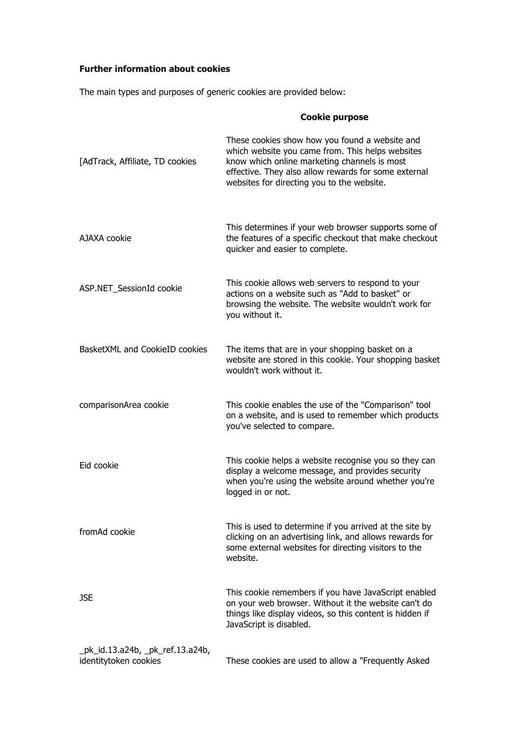# **Further information about cookies**

The main types and purposes of generic cookies are provided below:

|                                                           | <b>Cookie purpose</b>                                                                                                                                                                                                                                    |
|-----------------------------------------------------------|----------------------------------------------------------------------------------------------------------------------------------------------------------------------------------------------------------------------------------------------------------|
| [AdTrack, Affiliate, TD cookies                           | These cookies show how you found a website and<br>which website you came from. This helps websites<br>know which online marketing channels is most<br>effective. They also allow rewards for some external<br>websites for directing you to the website. |
| AJAXA cookie                                              | This determines if your web browser supports some of<br>the features of a specific checkout that make checkout<br>quicker and easier to complete.                                                                                                        |
| ASP.NET_SessionId cookie                                  | This cookie allows web servers to respond to your<br>actions on a website such as "Add to basket" or<br>browsing the website. The website wouldn't work for<br>you without it.                                                                           |
| BasketXML and CookieID cookies                            | The items that are in your shopping basket on a<br>website are stored in this cookie. Your shopping basket<br>wouldn't work without it.                                                                                                                  |
| comparisonArea cookie                                     | This cookie enables the use of the "Comparison" tool<br>on a website, and is used to remember which products<br>you've selected to compare.                                                                                                              |
| Eid cookie                                                | This cookie helps a website recognise you so they can<br>display a welcome message, and provides security<br>when you're using the website around whether you're<br>logged in or not.                                                                    |
| fromAd cookie                                             | This is used to determine if you arrived at the site by<br>clicking on an advertising link, and allows rewards for<br>some external websites for directing visitors to the<br>website.                                                                   |
| <b>JSE</b>                                                | This cookie remembers if you have JavaScript enabled<br>on your web browser. Without it the website can't do<br>things like display videos, so this content is hidden if<br>JavaScript is disabled.                                                      |
| _pk_id.13.a24b, _pk_ref.13.a24b,<br>identitytoken cookies | These cookies are used to allow a "Frequently Asked                                                                                                                                                                                                      |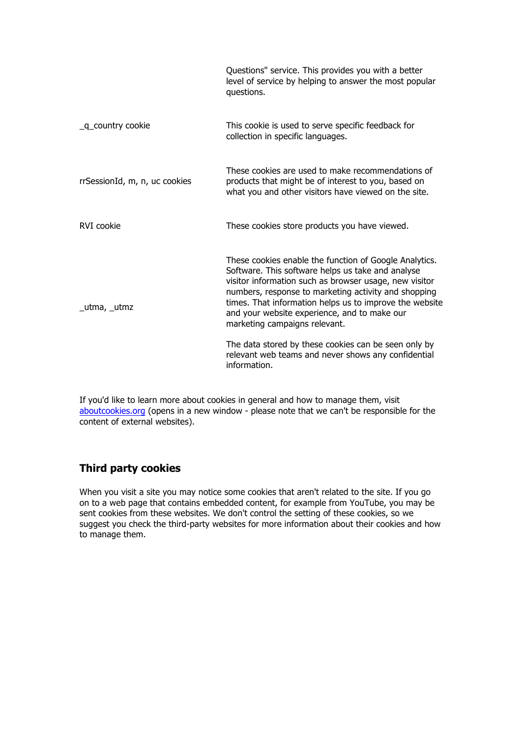|                               | Questions" service. This provides you with a better<br>level of service by helping to answer the most popular<br>questions.                                                                                                                                                                                                                                               |
|-------------------------------|---------------------------------------------------------------------------------------------------------------------------------------------------------------------------------------------------------------------------------------------------------------------------------------------------------------------------------------------------------------------------|
| _q_country cookie             | This cookie is used to serve specific feedback for<br>collection in specific languages.                                                                                                                                                                                                                                                                                   |
| rrSessionId, m, n, uc cookies | These cookies are used to make recommendations of<br>products that might be of interest to you, based on<br>what you and other visitors have viewed on the site.                                                                                                                                                                                                          |
| RVI cookie                    | These cookies store products you have viewed.                                                                                                                                                                                                                                                                                                                             |
| _utma, _utmz                  | These cookies enable the function of Google Analytics.<br>Software. This software helps us take and analyse<br>visitor information such as browser usage, new visitor<br>numbers, response to marketing activity and shopping<br>times. That information helps us to improve the website<br>and your website experience, and to make our<br>marketing campaigns relevant. |
|                               | The data stored by these cookies can be seen only by<br>relevant web teams and never shows any confidential<br>information.                                                                                                                                                                                                                                               |

If you'd like to learn more about cookies in general and how to manage them, visit aboutcookies.org (opens in a new window - please note that we can't be responsible for the content of external websites).

# **Third party cookies**

When you visit a site you may notice some cookies that aren't related to the site. If you go on to a web page that contains embedded content, for example from YouTube, you may be sent cookies from these websites. We don't control the setting of these cookies, so we suggest you check the third-party websites for more information about their cookies and how to manage them.